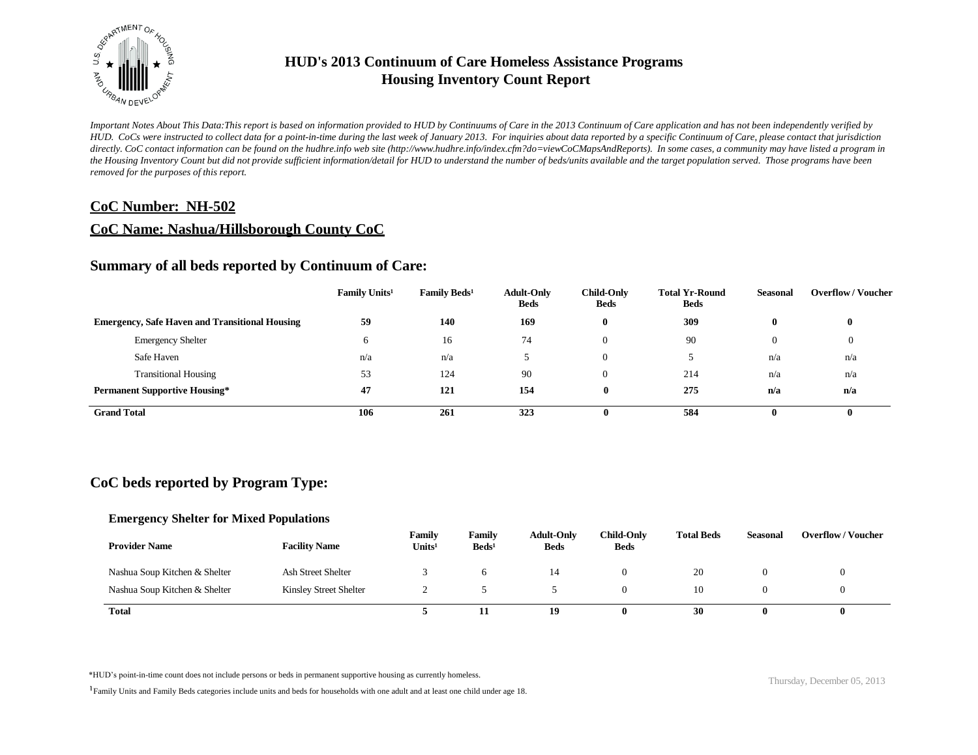

*Important Notes About This Data:This report is based on information provided to HUD by Continuums of Care in the 2013 Continuum of Care application and has not been independently verified by HUD. CoCs were instructed to collect data for a point-in-time during the last week of January 2013. For inquiries about data reported by a specific Continuum of Care, please contact that jurisdiction*  directly. CoC contact information can be found on the hudhre.info web site (http://www.hudhre.info/index.cfm?do=viewCoCMapsAndReports). In some cases, a community may have listed a program in *the Housing Inventory Count but did not provide sufficient information/detail for HUD to understand the number of beds/units available and the target population served. Those programs have been removed for the purposes of this report.*

## **CoC Number: NH-502**

## **CoC Name: Nashua/Hillsborough County CoC**

## **Summary of all beds reported by Continuum of Care:**

|                                                       | Family Units <sup>1</sup> | Family Beds <sup>1</sup> | <b>Adult-Only</b><br><b>Beds</b> | <b>Child-Only</b><br><b>Beds</b> | <b>Total Yr-Round</b><br><b>Beds</b> | <b>Seasonal</b> | <b>Overflow / Voucher</b> |
|-------------------------------------------------------|---------------------------|--------------------------|----------------------------------|----------------------------------|--------------------------------------|-----------------|---------------------------|
| <b>Emergency, Safe Haven and Transitional Housing</b> | 59                        | 140                      | 169                              | $\mathbf{0}$                     | 309                                  | $\bf{0}$        | $\bf{0}$                  |
| <b>Emergency Shelter</b>                              |                           | 16                       | 74                               | $\Omega$                         | 90                                   | $\theta$        |                           |
| Safe Haven                                            | n/a                       | n/a                      |                                  | $\Omega$                         |                                      | n/a             | n/a                       |
| <b>Transitional Housing</b>                           | 53                        | 124                      | 90                               | $\Omega$                         | 214                                  | n/a             | n/a                       |
| <b>Permanent Supportive Housing*</b>                  | 47                        | 121                      | 154                              | $\mathbf{0}$                     | 275                                  | n/a             | n/a                       |
| <b>Grand Total</b>                                    | 106                       | 261                      | 323                              | 0                                | 584                                  | 0               | 0                         |

# **CoC beds reported by Program Type:**

### **Emergency Shelter for Mixed Populations**

| <b>Provider Name</b>          | <b>Facility Name</b>   | Family<br>Units <sup>1</sup> | Family<br>$\text{Beds}^1$ | <b>Adult-Only</b><br><b>Beds</b> | <b>Child-Only</b><br><b>Beds</b> | <b>Total Beds</b> | <b>Seasonal</b> | <b>Overflow/Voucher</b> |
|-------------------------------|------------------------|------------------------------|---------------------------|----------------------------------|----------------------------------|-------------------|-----------------|-------------------------|
| Nashua Soup Kitchen & Shelter | Ash Street Shelter     |                              |                           |                                  |                                  | 20                |                 |                         |
| Nashua Soup Kitchen & Shelter | Kinsley Street Shelter |                              |                           |                                  |                                  | 10                |                 |                         |
| <b>Total</b>                  |                        |                              | 11                        | 19                               |                                  | 30                |                 |                         |

\*HUD's point-in-time count does not include persons or beds in permanent supportive housing as currently homeless.<br>
Thursday, December 05, 2013

<sup>1</sup>Family Units and Family Beds categories include units and beds for households with one adult and at least one child under age 18.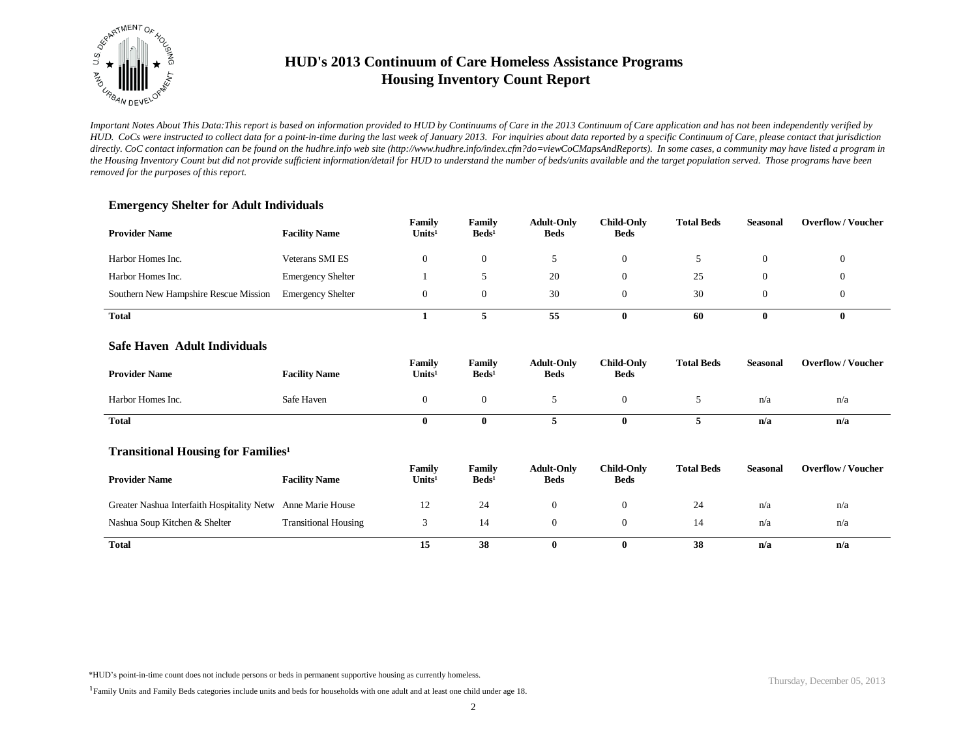

*Important Notes About This Data:This report is based on information provided to HUD by Continuums of Care in the 2013 Continuum of Care application and has not been independently verified by HUD. CoCs were instructed to collect data for a point-in-time during the last week of January 2013. For inquiries about data reported by a specific Continuum of Care, please contact that jurisdiction*  directly. CoC contact information can be found on the hudhre.info web site (http://www.hudhre.info/index.cfm?do=viewCoCMapsAndReports). In some cases, a community may have listed a program in *the Housing Inventory Count but did not provide sufficient information/detail for HUD to understand the number of beds/units available and the target population served. Those programs have been removed for the purposes of this report.*

### **Emergency Shelter for Adult Individuals**

| <b>Provider Name</b>                  | <b>Facility Name</b>     | Family<br>Units <sup>1</sup> | Family<br>$\text{Beds}^1$ | <b>Adult-Only</b><br><b>Beds</b> | <b>Child-Only</b><br><b>Beds</b> | <b>Total Beds</b> | <b>Seasonal</b> | <b>Overflow/Voucher</b> |
|---------------------------------------|--------------------------|------------------------------|---------------------------|----------------------------------|----------------------------------|-------------------|-----------------|-------------------------|
| Harbor Homes Inc.                     | <b>Veterans SMI ES</b>   | 0                            | $\theta$                  |                                  |                                  |                   |                 |                         |
| Harbor Homes Inc.                     | <b>Emergency Shelter</b> |                              |                           | 20                               |                                  | 25                |                 |                         |
| Southern New Hampshire Rescue Mission | <b>Emergency Shelter</b> |                              | $\theta$                  | 30                               |                                  | 30                |                 |                         |
| <b>Total</b>                          |                          |                              |                           | 55                               |                                  | 60                |                 | o                       |

#### **Safe Haven Adult Individuals**

| <b>Provider Name</b> | <b>Facility Name</b> | Family<br>Units <sup>1</sup> | Family<br>$\text{Beds}^1$ | <b>Adult-Only</b><br><b>Beds</b> | <b>Child-Only</b><br><b>Beds</b> | <b>Total Beds</b> | Seasonal | <b>Overflow/Voucher</b> |
|----------------------|----------------------|------------------------------|---------------------------|----------------------------------|----------------------------------|-------------------|----------|-------------------------|
| Harbor Homes Inc.    | Safe Haven           |                              |                           |                                  |                                  |                   | n/a      | n/a                     |
| <b>Total</b>         |                      |                              |                           |                                  |                                  |                   | n/a      | n/a                     |

### **Transitional Housing for Families<sup>1</sup>**

| <b>Provider Name</b>                                        | <b>Facility Name</b>        | Family<br>Units <sup>1</sup> | Family<br>$\text{Beds}^1$ | <b>Adult-Only</b><br><b>Beds</b> | Child-Only<br><b>Beds</b> | <b>Total Beds</b> | Seasonal | <b>Overflow/Voucher</b> |
|-------------------------------------------------------------|-----------------------------|------------------------------|---------------------------|----------------------------------|---------------------------|-------------------|----------|-------------------------|
| Greater Nashua Interfaith Hospitality Netw Anne Marie House |                             | 12                           | 24                        |                                  |                           | 24                | n/a      | n/a                     |
| Nashua Soup Kitchen & Shelter                               | <b>Transitional Housing</b> |                              | 14                        |                                  |                           | 14                | n/a      | n/a                     |
| <b>Total</b>                                                |                             | 15                           | 38                        |                                  | 0                         | 38                | n/a      | n/a                     |

\*HUD's point-in-time count does not include persons or beds in permanent supportive housing as currently homeless.

<sup>1</sup>Family Units and Family Beds categories include units and beds for households with one adult and at least one child under age 18.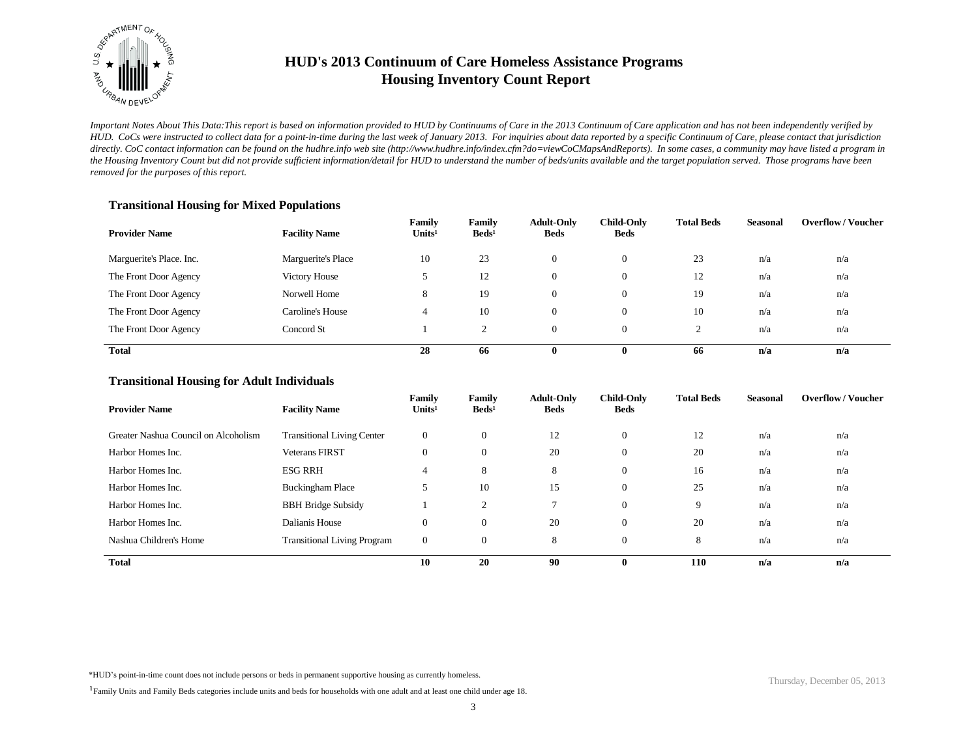

*Important Notes About This Data:This report is based on information provided to HUD by Continuums of Care in the 2013 Continuum of Care application and has not been independently verified by HUD. CoCs were instructed to collect data for a point-in-time during the last week of January 2013. For inquiries about data reported by a specific Continuum of Care, please contact that jurisdiction*  directly. CoC contact information can be found on the hudhre.info web site (http://www.hudhre.info/index.cfm?do=viewCoCMapsAndReports). In some cases, a community may have listed a program in *the Housing Inventory Count but did not provide sufficient information/detail for HUD to understand the number of beds/units available and the target population served. Those programs have been removed for the purposes of this report.*

### **Transitional Housing for Mixed Populations**

| <b>Provider Name</b>     | <b>Facility Name</b> | Family<br>Units <sup>1</sup> | Family<br>$\text{Beds}^1$ | <b>Adult-Only</b><br><b>Beds</b> | <b>Child-Only</b><br><b>Beds</b> | <b>Total Beds</b> | <b>Seasonal</b> | <b>Overflow/Voucher</b> |
|--------------------------|----------------------|------------------------------|---------------------------|----------------------------------|----------------------------------|-------------------|-----------------|-------------------------|
| Marguerite's Place. Inc. | Marguerite's Place   | 10                           | 23                        | $\Omega$                         | 0                                | 23                | n/a             | n/a                     |
| The Front Door Agency    | <b>Victory House</b> |                              | 12                        | $\theta$                         | 0                                | 12                | n/a             | n/a                     |
| The Front Door Agency    | Norwell Home         | 8                            | 19                        | $\Omega$                         | 0                                | 19                | n/a             | n/a                     |
| The Front Door Agency    | Caroline's House     | 4                            | 10                        | $\theta$                         | 0                                | 10                | n/a             | n/a                     |
| The Front Door Agency    | Concord St           |                              | ◠                         | $\Omega$                         | 0                                | ◠                 | n/a             | n/a                     |
| <b>Total</b>             |                      | 28                           | 66                        | 0                                | $\bf{0}$                         | 66                | n/a             | n/a                     |

### **Transitional Housing for Adult Individuals**

| <b>Provider Name</b>                 | <b>Facility Name</b>               | Family<br>Units <sup>1</sup> | Family<br>$\text{Beds}^1$ | <b>Adult-Only</b><br><b>Beds</b> | <b>Child-Only</b><br><b>Beds</b> | <b>Total Beds</b> | <b>Seasonal</b> | <b>Overflow/Voucher</b> |
|--------------------------------------|------------------------------------|------------------------------|---------------------------|----------------------------------|----------------------------------|-------------------|-----------------|-------------------------|
| Greater Nashua Council on Alcoholism | <b>Transitional Living Center</b>  | $\boldsymbol{0}$             | $\mathbf{0}$              | 12                               | $\mathbf{0}$                     | 12                | n/a             | n/a                     |
| Harbor Homes Inc.                    | <b>Veterans FIRST</b>              | $\mathbf{0}$                 | $\mathbf{0}$              | 20                               | $\mathbf{0}$                     | 20                | n/a             | n/a                     |
| Harbor Homes Inc.                    | <b>ESG RRH</b>                     | $\overline{4}$               | 8                         | 8                                | $\mathbf{0}$                     | 16                | n/a             | n/a                     |
| Harbor Homes Inc.                    | <b>Buckingham Place</b>            | 5                            | 10                        | 15                               | $\mathbf{0}$                     | 25                | n/a             | n/a                     |
| Harbor Homes Inc.                    | <b>BBH Bridge Subsidy</b>          |                              | $\sim$                    |                                  | $\mathbf{0}$                     | 9                 | n/a             | n/a                     |
| Harbor Homes Inc.                    | Dalianis House                     | $\boldsymbol{0}$             | $\mathbf{0}$              | 20                               | $\boldsymbol{0}$                 | 20                | n/a             | n/a                     |
| Nashua Children's Home               | <b>Transitional Living Program</b> | $\mathbf{0}$                 | $\mathbf{0}$              | 8                                | $\mathbf{0}$                     | 8                 | n/a             | n/a                     |
| <b>Total</b>                         |                                    | 10                           | 20                        | 90                               | 0                                | <b>110</b>        | n/a             | n/a                     |

\*HUD's point-in-time count does not include persons or beds in permanent supportive housing as currently homeless.

<sup>1</sup>Family Units and Family Beds categories include units and beds for households with one adult and at least one child under age 18.